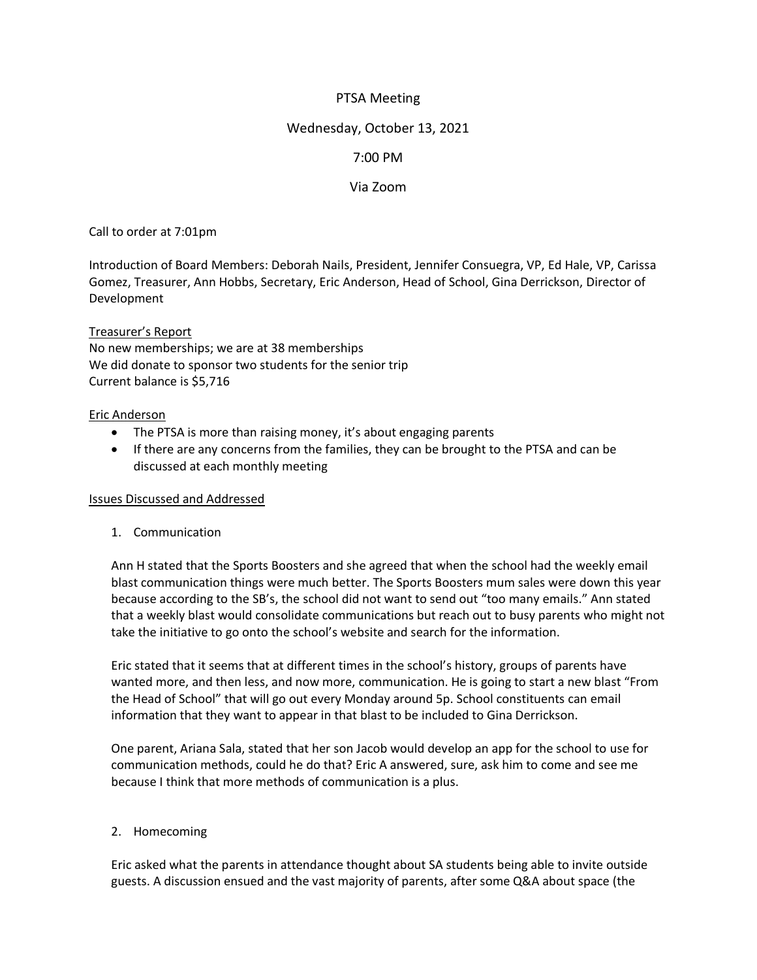# PTSA Meeting

### Wednesday, October 13, 2021

## 7:00 PM

## Via Zoom

Call to order at 7:01pm

Introduction of Board Members: Deborah Nails, President, Jennifer Consuegra, VP, Ed Hale, VP, Carissa Gomez, Treasurer, Ann Hobbs, Secretary, Eric Anderson, Head of School, Gina Derrickson, Director of Development

### Treasurer's Report

No new memberships; we are at 38 memberships We did donate to sponsor two students for the senior trip Current balance is \$5,716

#### Eric Anderson

- The PTSA is more than raising money, it's about engaging parents
- If there are any concerns from the families, they can be brought to the PTSA and can be discussed at each monthly meeting

### Issues Discussed and Addressed

1. Communication

Ann H stated that the Sports Boosters and she agreed that when the school had the weekly email blast communication things were much better. The Sports Boosters mum sales were down this year because according to the SB's, the school did not want to send out "too many emails." Ann stated that a weekly blast would consolidate communications but reach out to busy parents who might not take the initiative to go onto the school's website and search for the information.

Eric stated that it seems that at different times in the school's history, groups of parents have wanted more, and then less, and now more, communication. He is going to start a new blast "From the Head of School" that will go out every Monday around 5p. School constituents can email information that they want to appear in that blast to be included to Gina Derrickson.

One parent, Ariana Sala, stated that her son Jacob would develop an app for the school to use for communication methods, could he do that? Eric A answered, sure, ask him to come and see me because I think that more methods of communication is a plus.

### 2. Homecoming

Eric asked what the parents in attendance thought about SA students being able to invite outside guests. A discussion ensued and the vast majority of parents, after some Q&A about space (the